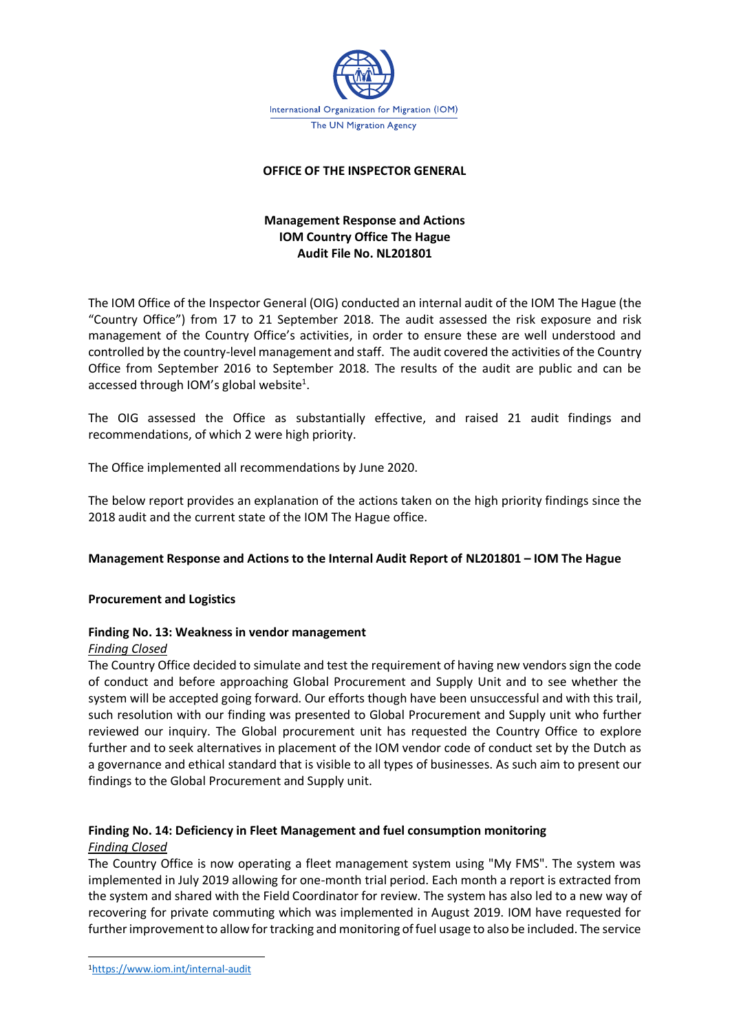

### **OFFICE OF THE INSPECTOR GENERAL**

## **Management Response and Actions IOM Country Office The Hague Audit File No. NL201801**

The IOM Office of the Inspector General (OIG) conducted an internal audit of the IOM The Hague (the "Country Office") from 17 to 21 September 2018. The audit assessed the risk exposure and risk management of the Country Office's activities, in order to ensure these are well understood and controlled by the country-level management and staff. The audit covered the activities of the Country Office from September 2016 to September 2018. The results of the audit are public and can be accessed through IOM's global website<sup>1</sup>.

The OIG assessed the Office as substantially effective, and raised 21 audit findings and recommendations, of which 2 were high priority.

The Office implemented all recommendations by June 2020.

The below report provides an explanation of the actions taken on the high priority findings since the 2018 audit and the current state of the IOM The Hague office.

#### **Management Response and Actions to the Internal Audit Report of NL201801 – IOM The Hague**

#### **Procurement and Logistics**

#### **Finding No. 13: Weakness in vendor management**

#### *Finding Closed*

The Country Office decided to simulate and test the requirement of having new vendors sign the code of conduct and before approaching Global Procurement and Supply Unit and to see whether the system will be accepted going forward. Our efforts though have been unsuccessful and with this trail, such resolution with our finding was presented to Global Procurement and Supply unit who further reviewed our inquiry. The Global procurement unit has requested the Country Office to explore further and to seek alternatives in placement of the IOM vendor code of conduct set by the Dutch as a governance and ethical standard that is visible to all types of businesses. As such aim to present our findings to the Global Procurement and Supply unit.

# **Finding No. 14: Deficiency in Fleet Management and fuel consumption monitoring**

## *Finding Closed*

The Country Office is now operating a fleet management system using "My FMS". The system was implemented in July 2019 allowing for one-month trial period. Each month a report is extracted from the system and shared with the Field Coordinator for review. The system has also led to a new way of recovering for private commuting which was implemented in August 2019. IOM have requested for further improvement to allow for tracking and monitoring of fuel usage to also be included. The service